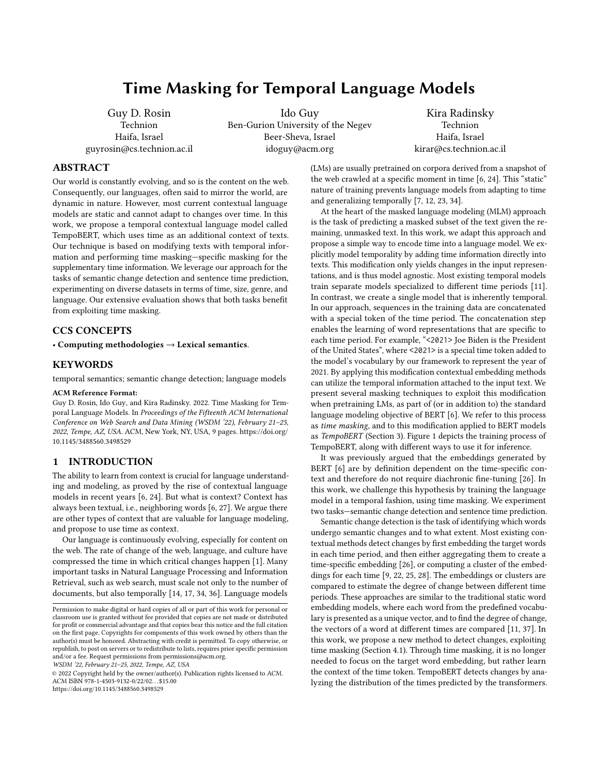# Time Masking for Temporal Language Models

Guy D. Rosin **Technion** Haifa, Israel guyrosin@cs.technion.ac.il

Ido Guy Ben-Gurion University of the Negev Beer-Sheva, Israel idoguy@acm.org

Kira Radinsky Technion Haifa, Israel kirar@cs.technion.ac.il

# ABSTRACT

Our world is constantly evolving, and so is the content on the web. Consequently, our languages, often said to mirror the world, are dynamic in nature. However, most current contextual language models are static and cannot adapt to changes over time. In this work, we propose a temporal contextual language model called TempoBERT, which uses time as an additional context of texts. Our technique is based on modifying texts with temporal information and performing time masking—specific masking for the supplementary time information. We leverage our approach for the tasks of semantic change detection and sentence time prediction, experimenting on diverse datasets in terms of time, size, genre, and language. Our extensive evaluation shows that both tasks benefit from exploiting time masking.

#### CCS CONCEPTS

• Computing methodologies  $\rightarrow$  Lexical semantics.

# **KEYWORDS**

temporal semantics; semantic change detection; language models

#### ACM Reference Format:

Guy D. Rosin, Ido Guy, and Kira Radinsky. 2022. Time Masking for Temporal Language Models. In Proceedings of the Fifteenth ACM International Conference on Web Search and Data Mining (WSDM '22), February 21–25, 2022, Tempe, AZ, USA. ACM, New York, NY, USA, [9](#page-8-0) pages. [https://doi.org/](https://doi.org/10.1145/3488560.3498529) [10.1145/3488560.3498529](https://doi.org/10.1145/3488560.3498529)

# 1 INTRODUCTION

The ability to learn from context is crucial for language understanding and modeling, as proved by the rise of contextual language models in recent years [\[6,](#page-8-1) [24\]](#page-8-2). But what is context? Context has always been textual, i.e., neighboring words [\[6,](#page-8-1) [27\]](#page-8-3). We argue there are other types of context that are valuable for language modeling, and propose to use time as context.

Our language is continuously evolving, especially for content on the web. The rate of change of the web, language, and culture have compressed the time in which critical changes happen [\[1\]](#page-8-4). Many important tasks in Natural Language Processing and Information Retrieval, such as web search, must scale not only to the number of documents, but also temporally [\[14,](#page-8-5) [17,](#page-8-6) [34,](#page-8-7) [36\]](#page-8-8). Language models

WSDM '22, February 21–25, 2022, Tempe, AZ, USA

© 2022 Copyright held by the owner/author(s). Publication rights licensed to ACM. ACM ISBN 978-1-4503-9132-0/22/02. . . \$15.00 <https://doi.org/10.1145/3488560.3498529>

(LMs) are usually pretrained on corpora derived from a snapshot of the web crawled at a specific moment in time [\[6,](#page-8-1) [24\]](#page-8-2). This "static" nature of training prevents language models from adapting to time and generalizing temporally [\[7,](#page-8-9) [12,](#page-8-10) [23,](#page-8-11) [34\]](#page-8-7).

At the heart of the masked language modeling (MLM) approach is the task of predicting a masked subset of the text given the remaining, unmasked text. In this work, we adapt this approach and propose a simple way to encode time into a language model. We explicitly model temporality by adding time information directly into texts. This modification only yields changes in the input representations, and is thus model agnostic. Most existing temporal models train separate models specialized to different time periods [\[11\]](#page-8-12). In contrast, we create a single model that is inherently temporal. In our approach, sequences in the training data are concatenated with a special token of the time period. The concatenation step enables the learning of word representations that are specific to each time period. For example, "<2021> Joe Biden is the President of the United States", where <2021> is a special time token added to the model's vocabulary by our framework to represent the year of 2021. By applying this modification contextual embedding methods can utilize the temporal information attached to the input text. We present several masking techniques to exploit this modification when pretraining LMs, as part of (or in addition to) the standard language modeling objective of BERT [\[6\]](#page-8-1). We refer to this process as time masking, and to this modification applied to BERT models as TempoBERT (Section [3\)](#page-2-0). Figure [1](#page-1-0) depicts the training process of TempoBERT, along with different ways to use it for inference.

It was previously argued that the embeddings generated by BERT [\[6\]](#page-8-1) are by definition dependent on the time-specific context and therefore do not require diachronic fine-tuning [\[26\]](#page-8-13). In this work, we challenge this hypothesis by training the language model in a temporal fashion, using time masking. We experiment two tasks—semantic change detection and sentence time prediction.

Semantic change detection is the task of identifying which words undergo semantic changes and to what extent. Most existing contextual methods detect changes by first embedding the target words in each time period, and then either aggregating them to create a time-specific embedding [\[26\]](#page-8-13), or computing a cluster of the embeddings for each time [\[9,](#page-8-14) [22,](#page-8-15) [25,](#page-8-16) [28\]](#page-8-17). The embeddings or clusters are compared to estimate the degree of change between different time periods. These approaches are similar to the traditional static word embedding models, where each word from the predefined vocabulary is presented as a unique vector, and to find the degree of change, the vectors of a word at different times are compared [\[11,](#page-8-12) [37\]](#page-8-18). In this work, we propose a new method to detect changes, exploiting time masking (Section [4.1\)](#page-2-1). Through time masking, it is no longer needed to focus on the target word embedding, but rather learn the context of the time token. TempoBERT detects changes by analyzing the distribution of the times predicted by the transformers.

Permission to make digital or hard copies of all or part of this work for personal or classroom use is granted without fee provided that copies are not made or distributed for profit or commercial advantage and that copies bear this notice and the full citation on the first page. Copyrights for components of this work owned by others than the author(s) must be honored. Abstracting with credit is permitted. To copy otherwise, or republish, to post on servers or to redistribute to lists, requires prior specific permission and/or a fee. Request permissions from permissions@acm.org.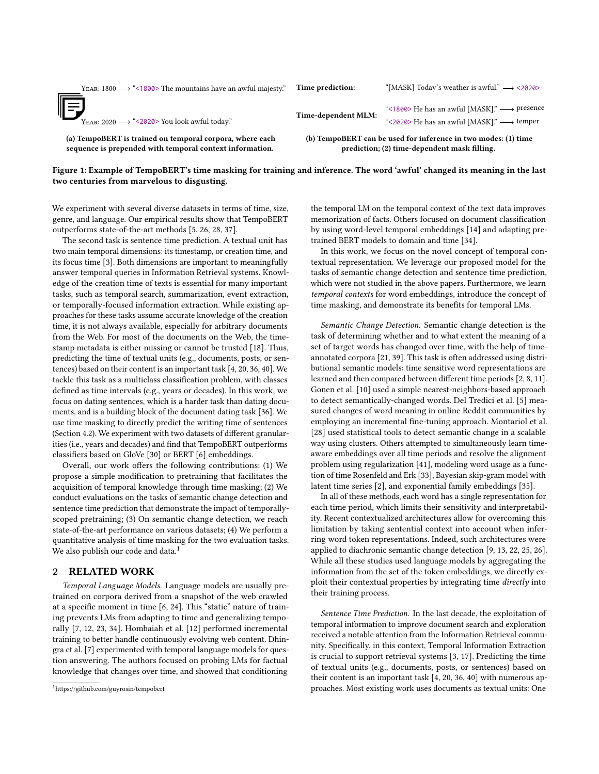<span id="page-1-0"></span>

| (a) TempoBERT is trained on temporal corpora, where each<br>sequence is prepended with temporal context information. |                     | (b) TempoBERT can be used for inference in two modes: (1) time<br>prediction; (2) time-dependent mask filling.           |
|----------------------------------------------------------------------------------------------------------------------|---------------------|--------------------------------------------------------------------------------------------------------------------------|
| 哼<br>YEAR: 2020 $\longrightarrow$ "<2020> You look awful today."                                                     | Time-dependent MLM: | "<1800> He has an awful [MASK]." $\longrightarrow$ presence<br>"<2020> He has an awful [MASK]." $\longrightarrow$ temper |
| YEAR: 1800 $\longrightarrow$ "<1800> The mountains have an awful majesty."                                           | Time prediction:    | "[MASK] Today's weather is awful." $\longrightarrow$ <2020>                                                              |

# Figure 1: Example of TempoBERT's time masking for training and inference. The word 'awful' changed its meaning in the last two centuries from marvelous to disgusting.

We experiment with several diverse datasets in terms of time, size, genre, and language. Our empirical results show that TempoBERT outperforms state-of-the-art methods [\[5,](#page-8-19) [26,](#page-8-13) [28,](#page-8-17) [37\]](#page-8-18).

The second task is sentence time prediction. A textual unit has two main temporal dimensions: its timestamp, or creation time, and its focus time [\[3\]](#page-8-20). Both dimensions are important to meaningfully answer temporal queries in Information Retrieval systems. Knowledge of the creation time of texts is essential for many important tasks, such as temporal search, summarization, event extraction, or temporally-focused information extraction. While existing approaches for these tasks assume accurate knowledge of the creation time, it is not always available, especially for arbitrary documents from the Web. For most of the documents on the Web, the timestamp metadata is either missing or cannot be trusted [\[18\]](#page-8-21). Thus, predicting the time of textual units (e.g., documents, posts, or sentences) based on their content is an important task [\[4,](#page-8-22) [20,](#page-8-23) [36,](#page-8-8) [40\]](#page-8-24). We tackle this task as a multiclass classification problem, with classes defined as time intervals (e.g., years or decades). In this work, we focus on dating sentences, which is a harder task than dating documents, and is a building block of the document dating task [\[36\]](#page-8-8). We use time masking to directly predict the writing time of sentences (Section [4.2\)](#page-3-0). We experiment with two datasets of different granularities (i.e., years and decades) and find that TempoBERT outperforms classifiers based on GloVe [\[30\]](#page-8-25) or BERT [\[6\]](#page-8-1) embeddings.

Overall, our work offers the following contributions: (1) We propose a simple modification to pretraining that facilitates the acquisition of temporal knowledge through time masking; (2) We conduct evaluations on the tasks of semantic change detection and sentence time prediction that demonstrate the impact of temporallyscoped pretraining; (3) On semantic change detection, we reach state-of-the-art performance on various datasets; (4) We perform a quantitative analysis of time masking for the two evaluation tasks. We also publish our code and data.<sup>[1](#page-1-1)</sup>

### 2 RELATED WORK

Temporal Language Models. Language models are usually pretrained on corpora derived from a snapshot of the web crawled at a specific moment in time [\[6,](#page-8-1) [24\]](#page-8-2). This "static" nature of training prevents LMs from adapting to time and generalizing temporally [\[7,](#page-8-9) [12,](#page-8-10) [23,](#page-8-11) [34\]](#page-8-7). Hombaiah et al. [\[12\]](#page-8-10) performed incremental training to better handle continuously evolving web content. Dhingra et al. [\[7\]](#page-8-9) experimented with temporal language models for question answering. The authors focused on probing LMs for factual knowledge that changes over time, and showed that conditioning

the temporal LM on the temporal context of the text data improves memorization of facts. Others focused on document classification by using word-level temporal embeddings [\[14\]](#page-8-5) and adapting pretrained BERT models to domain and time [\[34\]](#page-8-7).

In this work, we focus on the novel concept of temporal contextual representation. We leverage our proposed model for the tasks of semantic change detection and sentence time prediction, which were not studied in the above papers. Furthermore, we learn temporal contexts for word embeddings, introduce the concept of time masking, and demonstrate its benefits for temporal LMs.

Semantic Change Detection. Semantic change detection is the task of determining whether and to what extent the meaning of a set of target words has changed over time, with the help of timeannotated corpora [\[21,](#page-8-26) [39\]](#page-8-27). This task is often addressed using distributional semantic models: time sensitive word representations are learned and then compared between different time periods [\[2,](#page-8-28) [8,](#page-8-29) [11\]](#page-8-12). Gonen et al. [\[10\]](#page-8-30) used a simple nearest-neighbors-based approach to detect semantically-changed words. Del Tredici et al. [\[5\]](#page-8-19) measured changes of word meaning in online Reddit communities by employing an incremental fine-tuning approach. Montariol et al. [\[28\]](#page-8-17) used statistical tools to detect semantic change in a scalable way using clusters. Others attempted to simultaneously learn timeaware embeddings over all time periods and resolve the alignment problem using regularization [\[41\]](#page-8-31), modeling word usage as a function of time Rosenfeld and Erk [\[33\]](#page-8-32), Bayesian skip-gram model with latent time series [\[2\]](#page-8-28), and exponential family embeddings [\[35\]](#page-8-33).

In all of these methods, each word has a single representation for each time period, which limits their sensitivity and interpretability. Recent contextualized architectures allow for overcoming this limitation by taking sentential context into account when inferring word token representations. Indeed, such architectures were applied to diachronic semantic change detection [\[9,](#page-8-14) [13,](#page-8-34) [22,](#page-8-15) [25,](#page-8-16) [26\]](#page-8-13). While all these studies used language models by aggregating the information from the set of the token embeddings, we directly exploit their contextual properties by integrating time directly into their training process.

Sentence Time Prediction. In the last decade, the exploitation of temporal information to improve document search and exploration received a notable attention from the Information Retrieval community. Specifically, in this context, Temporal Information Extraction is crucial to support retrieval systems [\[3,](#page-8-20) [17\]](#page-8-6). Predicting the time of textual units (e.g., documents, posts, or sentences) based on their content is an important task [\[4,](#page-8-22) [20,](#page-8-23) [36,](#page-8-8) [40\]](#page-8-24) with numerous approaches. Most existing work uses documents as textual units: One

<span id="page-1-1"></span><sup>1</sup><https://github.com/guyrosin/tempobert>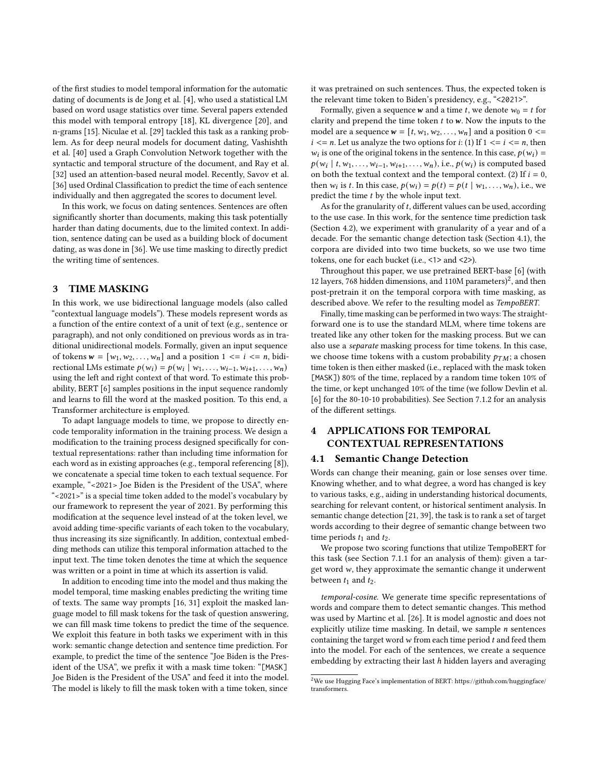of the first studies to model temporal information for the automatic dating of documents is de Jong et al. [\[4\]](#page-8-22), who used a statistical LM based on word usage statistics over time. Several papers extended this model with temporal entropy [\[18\]](#page-8-21), KL divergence [\[20\]](#page-8-23), and n-grams [\[15\]](#page-8-35). Niculae et al. [\[29\]](#page-8-36) tackled this task as a ranking problem. As for deep neural models for document dating, Vashishth et al. [\[40\]](#page-8-24) used a Graph Convolution Network together with the syntactic and temporal structure of the document, and Ray et al. [\[32\]](#page-8-37) used an attention-based neural model. Recently, Savov et al. [\[36\]](#page-8-8) used Ordinal Classification to predict the time of each sentence individually and then aggregated the scores to document level.

In this work, we focus on dating sentences. Sentences are often significantly shorter than documents, making this task potentially harder than dating documents, due to the limited context. In addition, sentence dating can be used as a building block of document dating, as was done in [\[36\]](#page-8-8). We use time masking to directly predict the writing time of sentences.

# <span id="page-2-0"></span>3 TIME MASKING

In this work, we use bidirectional language models (also called "contextual language models"). These models represent words as a function of the entire context of a unit of text (e.g., sentence or paragraph), and not only conditioned on previous words as in traditional unidirectional models. Formally, given an input sequence of tokens  $w = [w_1, w_2, \dots, w_n]$  and a position  $1 \le i \le n$ , bidirectional LMs estimate  $p(w_i) = p(w_i | w_1, \ldots, w_{i-1}, w_{i+1}, \ldots, w_n)$ using the left and right context of that word. To estimate this probability, BERT [\[6\]](#page-8-1) samples positions in the input sequence randomly and learns to fill the word at the masked position. To this end, a Transformer architecture is employed.

To adapt language models to time, we propose to directly encode temporality information in the training process. We design a modification to the training process designed specifically for contextual representations: rather than including time information for each word as in existing approaches (e.g., temporal referencing [\[8\]](#page-8-29)), we concatenate a special time token to each textual sequence. For example, "<2021> Joe Biden is the President of the USA", where "<2021>" is a special time token added to the model's vocabulary by our framework to represent the year of 2021. By performing this modification at the sequence level instead of at the token level, we avoid adding time-specific variants of each token to the vocabulary, thus increasing its size significantly. In addition, contextual embedding methods can utilize this temporal information attached to the input text. The time token denotes the time at which the sequence was written or a point in time at which its assertion is valid.

In addition to encoding time into the model and thus making the model temporal, time masking enables predicting the writing time of texts. The same way prompts [\[16,](#page-8-38) [31\]](#page-8-39) exploit the masked language model to fill mask tokens for the task of question answering, we can fill mask time tokens to predict the time of the sequence. We exploit this feature in both tasks we experiment with in this work: semantic change detection and sentence time prediction. For example, to predict the time of the sentence "Joe Biden is the President of the USA", we prefix it with a mask time token: "[MASK] Joe Biden is the President of the USA" and feed it into the model. The model is likely to fill the mask token with a time token, since

it was pretrained on such sentences. Thus, the expected token is the relevant time token to Biden's presidency, e.g., "<2021>".

Formally, given a sequence **w** and a time *t*, we denote  $w_0 = t$  for clarity and prepend the time token  $t$  to  $w$ . Now the inputs to the model are a sequence  $w = [t, w_1, w_2, \dots, w_n]$  and a position  $0 \leq w_1$  $i \le n$ . Let us analyze the two options for  $i: (1)$  If  $1 \le i \le n$ , then  $w_i$  is one of the original tokens in the sentence. In this case,  $p(w_i)$  =  $p(w_i | t, w_1, \ldots, w_{i-1}, w_{i+1}, \ldots, w_n)$ , i.e.,  $p(w_i)$  is computed based on both the textual context and the temporal context. (2) If  $i = 0$ , then  $w_i$  is t. In this case,  $p(w_i) = p(t) = p(t | w_1, \dots, w_n)$ , i.e., we predict the time  $t$  by the whole input text.

As for the granularity of  $t$ , different values can be used, according to the use case. In this work, for the sentence time prediction task (Section [4.2\)](#page-3-0), we experiment with granularity of a year and of a decade. For the semantic change detection task (Section [4.1\)](#page-2-1), the corpora are divided into two time buckets, so we use two time tokens, one for each bucket (i.e., <1> and <2>).

Throughout this paper, we use pretrained BERT-base [\[6\]](#page-8-1) (with 1[2](#page-2-2) layers, 768 hidden dimensions, and 110M parameters)<sup>2</sup>, and then post-pretrain it on the temporal corpora with time masking, as described above. We refer to the resulting model as TempoBERT.

Finally, time masking can be performed in two ways: The straightforward one is to use the standard MLM, where time tokens are treated like any other token for the masking process. But we can also use a separate masking process for time tokens. In this case, we choose time tokens with a custom probability  $p_{TM}$ ; a chosen time token is then either masked (i.e., replaced with the mask token [MASK]) 80% of the time, replaced by a random time token 10% of the time, or kept unchanged 10% of the time (we follow Devlin et al. [\[6\]](#page-8-1) for the 80-10-10 probabilities). See Section [7.1.2](#page-5-0) for an analysis of the different settings.

# 4 APPLICATIONS FOR TEMPORAL CONTEXTUAL REPRESENTATIONS

#### <span id="page-2-1"></span>4.1 Semantic Change Detection

Words can change their meaning, gain or lose senses over time. Knowing whether, and to what degree, a word has changed is key to various tasks, e.g., aiding in understanding historical documents, searching for relevant content, or historical sentiment analysis. In semantic change detection [\[21,](#page-8-26) [39\]](#page-8-27), the task is to rank a set of target words according to their degree of semantic change between two time periods  $t_1$  and  $t_2$ .

We propose two scoring functions that utilize TempoBERT for this task (see Section [7.1.1](#page-5-1) for an analysis of them): given a target word  $w$ , they approximate the semantic change it underwent between  $t_1$  and  $t_2$ .

temporal-cosine. We generate time specific representations of words and compare them to detect semantic changes. This method was used by Martinc et al. [\[26\]](#page-8-13). It is model agnostic and does not explicitly utilize time masking. In detail, we sample  $n$  sentences containing the target word  $w$  from each time period  $t$  and feed them into the model. For each of the sentences, we create a sequence embedding by extracting their last  $h$  hidden layers and averaging

<span id="page-2-2"></span> $^2\rm{We}$  use Hugging Face's implementation of BERT: [https://github.com/huggingface/](https://github.com/huggingface/transformers) [transformers.](https://github.com/huggingface/transformers)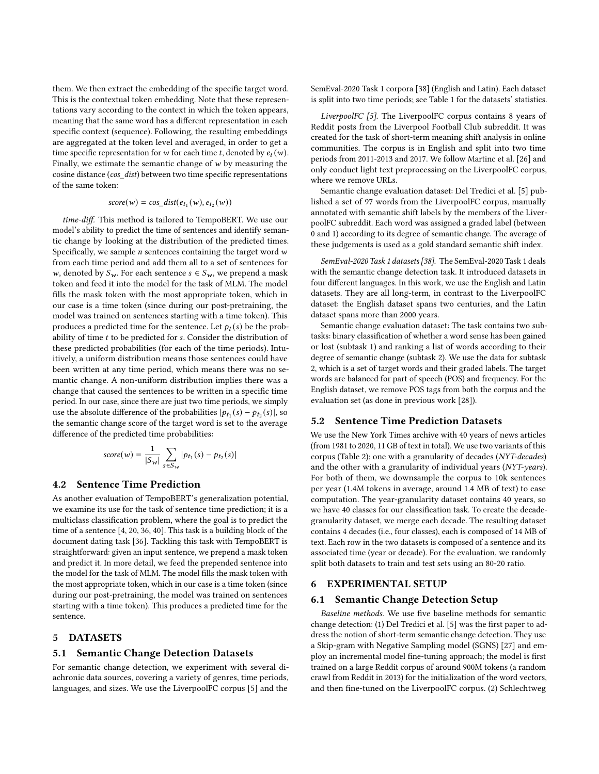them. We then extract the embedding of the specific target word. This is the contextual token embedding. Note that these representations vary according to the context in which the token appears, meaning that the same word has a different representation in each specific context (sequence). Following, the resulting embeddings are aggregated at the token level and averaged, in order to get a time specific representation for w for each time t, denoted by  $e_t(w)$ . Finally, we estimate the semantic change of  $w$  by measuring the cosine distance (cos\_dist) between two time specific representations of the same token:

# $score(w) = cos\_dist(e_{t_1}(w), e_{t_2}(w))$

time-diff. This method is tailored to TempoBERT. We use our model's ability to predict the time of sentences and identify semantic change by looking at the distribution of the predicted times. Specifically, we sample  $n$  sentences containing the target word  $w$ from each time period and add them all to a set of sentences for w, denoted by  $S_w$ . For each sentence  $s \in S_w$ , we prepend a mask token and feed it into the model for the task of MLM. The model fills the mask token with the most appropriate token, which in our case is a time token (since during our post-pretraining, the model was trained on sentences starting with a time token). This produces a predicted time for the sentence. Let  $p_t(s)$  be the probability of time  $t$  to be predicted for  $s$ . Consider the distribution of these predicted probabilities (for each of the time periods). Intuitively, a uniform distribution means those sentences could have been written at any time period, which means there was no semantic change. A non-uniform distribution implies there was a change that caused the sentences to be written in a specific time period. In our case, since there are just two time periods, we simply use the absolute difference of the probabilities  $|p_{t_1}(s) - p_{t_2}(s)|$ , so the semantic change score of the target word is set to the average difference of the predicted time probabilities:

$$
score(w) = \frac{1}{|S_w|} \sum_{s \in S_w} |p_{t_1}(s) - p_{t_2}(s)|
$$

# <span id="page-3-0"></span>4.2 Sentence Time Prediction

As another evaluation of TempoBERT's generalization potential, we examine its use for the task of sentence time prediction; it is a multiclass classification problem, where the goal is to predict the time of a sentence [\[4,](#page-8-22) [20,](#page-8-23) [36,](#page-8-8) [40\]](#page-8-24). This task is a building block of the document dating task [\[36\]](#page-8-8). Tackling this task with TempoBERT is straightforward: given an input sentence, we prepend a mask token and predict it. In more detail, we feed the prepended sentence into the model for the task of MLM. The model fills the mask token with the most appropriate token, which in our case is a time token (since during our post-pretraining, the model was trained on sentences starting with a time token). This produces a predicted time for the sentence.

# 5 DATASETS

#### 5.1 Semantic Change Detection Datasets

For semantic change detection, we experiment with several diachronic data sources, covering a variety of genres, time periods, languages, and sizes. We use the LiverpoolFC corpus [\[5\]](#page-8-19) and the

SemEval-2020 Task 1 corpora [\[38\]](#page-8-40) (English and Latin). Each dataset is split into two time periods; see Table [1](#page-4-0) for the datasets' statistics.

LiverpoolFC [\[5\]](#page-8-19). The LiverpoolFC corpus contains 8 years of Reddit posts from the Liverpool Football Club subreddit. It was created for the task of short-term meaning shift analysis in online communities. The corpus is in English and split into two time periods from 2011-2013 and 2017. We follow Martinc et al. [\[26\]](#page-8-13) and only conduct light text preprocessing on the LiverpoolFC corpus, where we remove URLs.

Semantic change evaluation dataset: Del Tredici et al. [\[5\]](#page-8-19) published a set of 97 words from the LiverpoolFC corpus, manually annotated with semantic shift labels by the members of the LiverpoolFC subreddit. Each word was assigned a graded label (between 0 and 1) according to its degree of semantic change. The average of these judgements is used as a gold standard semantic shift index.

SemEval-2020 Task 1 datasets [\[38\]](#page-8-40). The SemEval-2020 Task 1 deals with the semantic change detection task. It introduced datasets in four different languages. In this work, we use the English and Latin datasets. They are all long-term, in contrast to the LiverpoolFC dataset: the English dataset spans two centuries, and the Latin dataset spans more than 2000 years.

Semantic change evaluation dataset: The task contains two subtasks: binary classification of whether a word sense has been gained or lost (subtask 1) and ranking a list of words according to their degree of semantic change (subtask 2). We use the data for subtask 2, which is a set of target words and their graded labels. The target words are balanced for part of speech (POS) and frequency. For the English dataset, we remove POS tags from both the corpus and the evaluation set (as done in previous work [\[28\]](#page-8-17)).

## 5.2 Sentence Time Prediction Datasets

We use the New York Times archive with 40 years of news articles (from 1981 to 2020, 11 GB of text in total). We use two variants of this corpus (Table [2\)](#page-4-1); one with a granularity of decades (NYT-decades) and the other with a granularity of individual years (NYT-years). For both of them, we downsample the corpus to 10k sentences per year (1.4M tokens in average, around 1.4 MB of text) to ease computation. The year-granularity dataset contains 40 years, so we have 40 classes for our classification task. To create the decadegranularity dataset, we merge each decade. The resulting dataset contains 4 decades (i.e., four classes), each is composed of 14 MB of text. Each row in the two datasets is composed of a sentence and its associated time (year or decade). For the evaluation, we randomly split both datasets to train and test sets using an 80-20 ratio.

#### 6 EXPERIMENTAL SETUP

#### 6.1 Semantic Change Detection Setup

Baseline methods. We use five baseline methods for semantic change detection: (1) Del Tredici et al. [\[5\]](#page-8-19) was the first paper to address the notion of short-term semantic change detection. They use a Skip-gram with Negative Sampling model (SGNS) [\[27\]](#page-8-3) and employ an incremental model fine-tuning approach; the model is first trained on a large Reddit corpus of around 900M tokens (a random crawl from Reddit in 2013) for the initialization of the word vectors, and then fine-tuned on the LiverpoolFC corpus. (2) Schlechtweg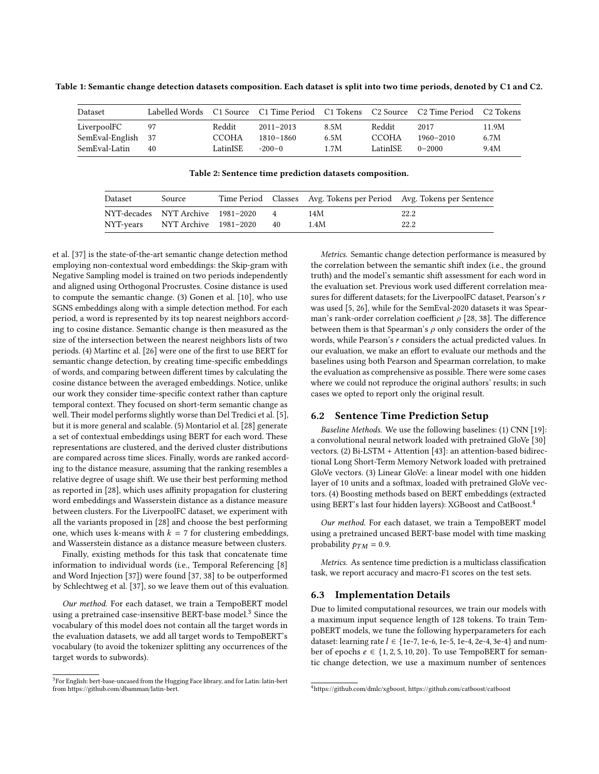<span id="page-4-0"></span>Table 1: Semantic change detection datasets composition. Each dataset is split into two time periods, denoted by C1 and C2.

| Dataset            |    |          | Labelled Words C1 Source C1 Time Period C1 Tokens C2 Source C2 Time Period |      |              |               | C2 Tokens |
|--------------------|----|----------|----------------------------------------------------------------------------|------|--------------|---------------|-----------|
| LiverpoolFC        | 97 | Reddit   | $2011 - 2013$                                                              | 8.5M | Reddit       | 2017          | 11.9M     |
| SemEval-English 37 |    | CCOHA    | 1810-1860                                                                  | 6.5M | <b>CCOHA</b> | $1960 - 2010$ | 6.7M      |
| SemEval-Latin      | 40 | LatinISE | $-200-0$                                                                   | 1.7M | LatinISE     | $0 - 2000$    | 9.4M      |

Table 2: Sentence time prediction datasets composition.

<span id="page-4-1"></span>

| Dataset   | Source                            |                |      | Time Period Classes Avg. Tokens per Period Avg. Tokens per Sentence |
|-----------|-----------------------------------|----------------|------|---------------------------------------------------------------------|
|           | NYT-decades NYT Archive 1981-2020 | $\overline{4}$ | 14M  | 22.2                                                                |
| NYT-years | NYT Archive 1981–2020             | 40             | 1.4M | 22.2                                                                |

et al. [\[37\]](#page-8-18) is the state-of-the-art semantic change detection method employing non-contextual word embeddings: the Skip-gram with Negative Sampling model is trained on two periods independently and aligned using Orthogonal Procrustes. Cosine distance is used to compute the semantic change. (3) Gonen et al. [\[10\]](#page-8-30), who use SGNS embeddings along with a simple detection method. For each period, a word is represented by its top nearest neighbors according to cosine distance. Semantic change is then measured as the size of the intersection between the nearest neighbors lists of two periods. (4) Martinc et al. [\[26\]](#page-8-13) were one of the first to use BERT for semantic change detection, by creating time-specific embeddings of words, and comparing between different times by calculating the cosine distance between the averaged embeddings. Notice, unlike our work they consider time-specific context rather than capture temporal context. They focused on short-term semantic change as well. Their model performs slightly worse than Del Tredici et al. [\[5\]](#page-8-19), but it is more general and scalable. (5) Montariol et al. [\[28\]](#page-8-17) generate a set of contextual embeddings using BERT for each word. These representations are clustered, and the derived cluster distributions are compared across time slices. Finally, words are ranked according to the distance measure, assuming that the ranking resembles a relative degree of usage shift. We use their best performing method as reported in [\[28\]](#page-8-17), which uses affinity propagation for clustering word embeddings and Wasserstein distance as a distance measure between clusters. For the LiverpoolFC dataset, we experiment with all the variants proposed in [\[28\]](#page-8-17) and choose the best performing one, which uses k-means with  $k = 7$  for clustering embeddings, and Wasserstein distance as a distance measure between clusters.

Finally, existing methods for this task that concatenate time information to individual words (i.e., Temporal Referencing [\[8\]](#page-8-29) and Word Injection [\[37\]](#page-8-18)) were found [\[37,](#page-8-18) [38\]](#page-8-40) to be outperformed by Schlechtweg et al. [\[37\]](#page-8-18), so we leave them out of this evaluation.

Our method. For each dataset, we train a TempoBERT model using a pretrained case-insensitive BERT-base model.<sup>[3](#page-4-2)</sup> Since the vocabulary of this model does not contain all the target words in the evaluation datasets, we add all target words to TempoBERT's vocabulary (to avoid the tokenizer splitting any occurrences of the target words to subwords).

Metrics. Semantic change detection performance is measured by the correlation between the semantic shift index (i.e., the ground truth) and the model's semantic shift assessment for each word in the evaluation set. Previous work used different correlation measures for different datasets; for the LiverpoolFC dataset, Pearson's r was used [\[5,](#page-8-19) [26\]](#page-8-13), while for the SemEval-2020 datasets it was Spearman's rank-order correlation coefficient  $\rho$  [\[28,](#page-8-17) [38\]](#page-8-40). The difference between them is that Spearman's  $\rho$  only considers the order of the words, while Pearson's  $r$  considers the actual predicted values. In our evaluation, we make an effort to evaluate our methods and the baselines using both Pearson and Spearman correlation, to make the evaluation as comprehensive as possible. There were some cases where we could not reproduce the original authors' results; in such cases we opted to report only the original result.

#### 6.2 Sentence Time Prediction Setup

Baseline Methods. We use the following baselines: (1) CNN [\[19\]](#page-8-41): a convolutional neural network loaded with pretrained GloVe [\[30\]](#page-8-25) vectors. (2) Bi-LSTM + Attention [\[43\]](#page-8-42): an attention-based bidirectional Long Short-Term Memory Network loaded with pretrained GloVe vectors. (3) Linear GloVe: a linear model with one hidden layer of 10 units and a softmax, loaded with pretrained GloVe vectors. (4) Boosting methods based on BERT embeddings (extracted using BERT's last four hidden layers): XGBoost and CatBoost.<sup>[4](#page-4-3)</sup>

Our method. For each dataset, we train a TempoBERT model using a pretrained uncased BERT-base model with time masking probability  $p_{TM} = 0.9$ .

Metrics. As sentence time prediction is a multiclass classification task, we report accuracy and macro-F1 scores on the test sets.

#### 6.3 Implementation Details

Due to limited computational resources, we train our models with a maximum input sequence length of 128 tokens. To train TempoBERT models, we tune the following hyperparameters for each dataset: learning rate  $l \in \{1e-7, 1e-6, 1e-5, 1e-4, 2e-4, 3e-4\}$  and number of epochs  $e \in \{1, 2, 5, 10, 20\}$ . To use TempoBERT for semantic change detection, we use a maximum number of sentences

<span id="page-4-2"></span> $3$ For English: bert-base-uncased from the Hugging Face library, and for Latin: latin-bert from [https://github.com/dbamman/latin-bert.](https://github.com/dbamman/latin-bert)

<span id="page-4-3"></span><sup>4</sup>[https://github.com/dmlc/xgboost,](https://github.com/dmlc/xgboost)<https://github.com/catboost/catboost>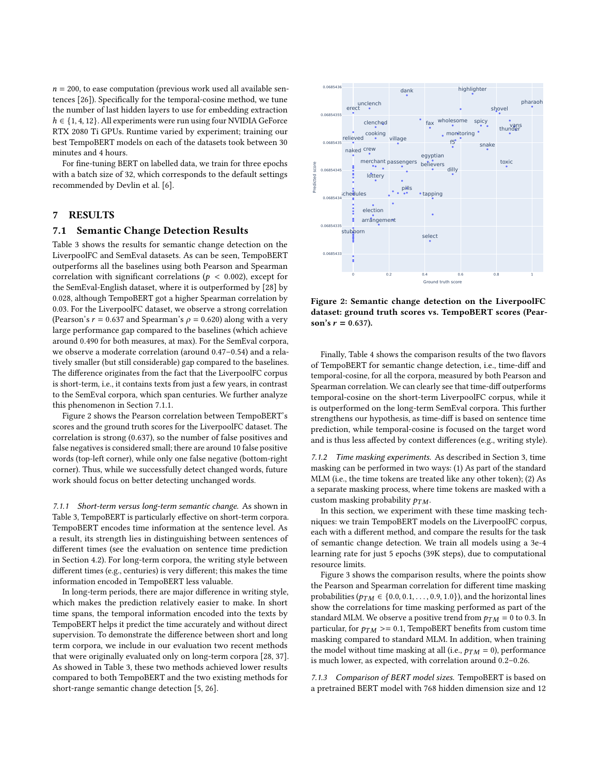$n = 200$ , to ease computation (previous work used all available sentences [\[26\]](#page-8-13)). Specifically for the temporal-cosine method, we tune the number of last hidden layers to use for embedding extraction  $h \in \{1, 4, 12\}$ . All experiments were run using four NVIDIA GeForce RTX 2080 Ti GPUs. Runtime varied by experiment; training our best TempoBERT models on each of the datasets took between 30 minutes and 4 hours.

For fine-tuning BERT on labelled data, we train for three epochs with a batch size of 32, which corresponds to the default settings recommended by Devlin et al. [\[6\]](#page-8-1).

## 7 RESULTS

#### 7.1 Semantic Change Detection Results

Table [3](#page-6-0) shows the results for semantic change detection on the LiverpoolFC and SemEval datasets. As can be seen, TempoBERT outperforms all the baselines using both Pearson and Spearman correlation with significant correlations ( $p < 0.002$ ), except for the SemEval-English dataset, where it is outperformed by [\[28\]](#page-8-17) by 0.028, although TempoBERT got a higher Spearman correlation by 0.03. For the LiverpoolFC dataset, we observe a strong correlation (Pearson's  $r = 0.637$  and Spearman's  $\rho = 0.620$ ) along with a very large performance gap compared to the baselines (which achieve around 0.490 for both measures, at max). For the SemEval corpora, we observe a moderate correlation (around 0.47–0.54) and a relatively smaller (but still considerable) gap compared to the baselines. The difference originates from the fact that the LiverpoolFC corpus is short-term, i.e., it contains texts from just a few years, in contrast to the SemEval corpora, which span centuries. We further analyze this phenomenon in Section [7.1.1.](#page-5-1)

Figure [2](#page-5-2) shows the Pearson correlation between TempoBERT's scores and the ground truth scores for the LiverpoolFC dataset. The correlation is strong (0.637), so the number of false positives and false negatives is considered small; there are around 10 false positive words (top-left corner), while only one false negative (bottom-right corner). Thus, while we successfully detect changed words, future work should focus on better detecting unchanged words.

<span id="page-5-1"></span>7.1.1 Short-term versus long-term semantic change. As shown in Table [3,](#page-6-0) TempoBERT is particularly effective on short-term corpora. TempoBERT encodes time information at the sentence level. As a result, its strength lies in distinguishing between sentences of different times (see the evaluation on sentence time prediction in Section [4.2\)](#page-3-0). For long-term corpora, the writing style between different times (e.g., centuries) is very different; this makes the time information encoded in TempoBERT less valuable.

In long-term periods, there are major difference in writing style, which makes the prediction relatively easier to make. In short time spans, the temporal information encoded into the texts by TempoBERT helps it predict the time accurately and without direct supervision. To demonstrate the difference between short and long term corpora, we include in our evaluation two recent methods that were originally evaluated only on long-term corpora [\[28,](#page-8-17) [37\]](#page-8-18). As showed in Table [3,](#page-6-0) these two methods achieved lower results compared to both TempoBERT and the two existing methods for short-range semantic change detection [\[5,](#page-8-19) [26\]](#page-8-13).

<span id="page-5-2"></span>

Figure 2: Semantic change detection on the LiverpoolFC dataset: ground truth scores vs. TempoBERT scores (Pearson's  $r = 0.637$ ).

Finally, Table [4](#page-6-1) shows the comparison results of the two flavors of TempoBERT for semantic change detection, i.e., time-diff and temporal-cosine, for all the corpora, measured by both Pearson and Spearman correlation. We can clearly see that time-diff outperforms temporal-cosine on the short-term LiverpoolFC corpus, while it is outperformed on the long-term SemEval corpora. This further strengthens our hypothesis, as time-diff is based on sentence time prediction, while temporal-cosine is focused on the target word and is thus less affected by context differences (e.g., writing style).

<span id="page-5-0"></span>7.1.2 Time masking experiments. As described in Section [3,](#page-2-0) time masking can be performed in two ways: (1) As part of the standard MLM (i.e., the time tokens are treated like any other token); (2) As a separate masking process, where time tokens are masked with a custom masking probability  $p_{TM}$ .

In this section, we experiment with these time masking techniques: we train TempoBERT models on the LiverpoolFC corpus, each with a different method, and compare the results for the task of semantic change detection. We train all models using a 3e-4 learning rate for just 5 epochs (39K steps), due to computational resource limits.

Figure [3](#page-6-2) shows the comparison results, where the points show the Pearson and Spearman correlation for different time masking probabilities ( $p_{TM} \in \{0.0, 0.1, \ldots, 0.9, 1.0\}$ ), and the horizontal lines show the correlations for time masking performed as part of the standard MLM. We observe a positive trend from  $p_{TM} = 0$  to 0.3. In particular, for  $p_{TM} \geq 0.1$ , TempoBERT benefits from custom time masking compared to standard MLM. In addition, when training the model without time masking at all (i.e.,  $p_{TM} = 0$ ), performance is much lower, as expected, with correlation around 0.2–0.26.

7.1.3 Comparison of BERT model sizes. TempoBERT is based on a pretrained BERT model with 768 hidden dimension size and 12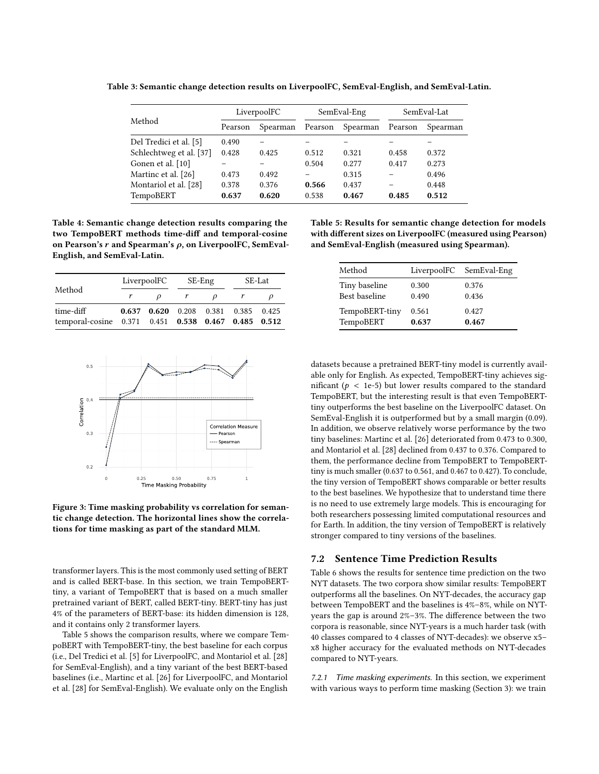<span id="page-6-0"></span>Table 3: Semantic change detection results on LiverpoolFC, SemEval-English, and SemEval-Latin.

| Method                  | LiverpoolFC |          | SemEval-Eng |          | SemEval-Lat |          |
|-------------------------|-------------|----------|-------------|----------|-------------|----------|
|                         | Pearson     | Spearman | Pearson     | Spearman | Pearson     | Spearman |
| Del Tredici et al. [5]  | 0.490       |          |             |          |             |          |
| Schlechtweg et al. [37] | 0.428       | 0.425    | 0.512       | 0.321    | 0.458       | 0.372    |
| Gonen et al. [10]       |             |          | 0.504       | 0.277    | 0.417       | 0.273    |
| Martinc et al. [26]     | 0.473       | 0.492    |             | 0.315    |             | 0.496    |
| Montariol et al. [28]   | 0.378       | 0.376    | 0.566       | 0.437    |             | 0.448    |
| TempoBERT               | 0.637       | 0.620    | 0.538       | 0.467    | 0.485       | 0.512    |

<span id="page-6-1"></span>Table 4: Semantic change detection results comparing the two TempoBERT methods time-diff and temporal-cosine on Pearson's  $r$  and Spearman's  $\rho$ , on LiverpoolFC, SemEval-English, and SemEval-Latin.

|                                                     | LiverpoolFC |                                     | SE-Eng       |  | SE-Lat |  |
|-----------------------------------------------------|-------------|-------------------------------------|--------------|--|--------|--|
| Method                                              |             |                                     | $\mathbf{r}$ |  |        |  |
| time-diff                                           |             | 0.637 0.620 0.208 0.381 0.385 0.425 |              |  |        |  |
| temporal-cosine 0.371 0.451 0.538 0.467 0.485 0.512 |             |                                     |              |  |        |  |

<span id="page-6-2"></span>

Figure 3: Time masking probability vs correlation for semantic change detection. The horizontal lines show the correlations for time masking as part of the standard MLM.

transformer layers. This is the most commonly used setting of BERT and is called BERT-base. In this section, we train TempoBERTtiny, a variant of TempoBERT that is based on a much smaller pretrained variant of BERT, called BERT-tiny. BERT-tiny has just 4% of the parameters of BERT-base: its hidden dimension is 128, and it contains only 2 transformer layers.

Table [5](#page-6-3) shows the comparison results, where we compare TempoBERT with TempoBERT-tiny, the best baseline for each corpus (i.e., Del Tredici et al. [\[5\]](#page-8-19) for LiverpoolFC, and Montariol et al. [\[28\]](#page-8-17) for SemEval-English), and a tiny variant of the best BERT-based baselines (i.e., Martinc et al. [\[26\]](#page-8-13) for LiverpoolFC, and Montariol et al. [\[28\]](#page-8-17) for SemEval-English). We evaluate only on the English

<span id="page-6-3"></span>Table 5: Results for semantic change detection for models with different sizes on LiverpoolFC (measured using Pearson) and SemEval-English (measured using Spearman).

| Method         |       | LiverpoolFC SemEval-Eng |
|----------------|-------|-------------------------|
| Tiny baseline  | 0.300 | 0.376                   |
| Best baseline  | 0.490 | 0.436                   |
| TempoBERT-tiny | 0.561 | 0.427                   |
| TempoBERT      | 0.637 | 0.467                   |

datasets because a pretrained BERT-tiny model is currently available only for English. As expected, TempoBERT-tiny achieves significant ( $p < 1e-5$ ) but lower results compared to the standard TempoBERT, but the interesting result is that even TempoBERTtiny outperforms the best baseline on the LiverpoolFC dataset. On SemEval-English it is outperformed but by a small margin (0.09). In addition, we observe relatively worse performance by the two tiny baselines: Martinc et al. [\[26\]](#page-8-13) deteriorated from 0.473 to 0.300, and Montariol et al. [\[28\]](#page-8-17) declined from 0.437 to 0.376. Compared to them, the performance decline from TempoBERT to TempoBERTtiny is much smaller (0.637 to 0.561, and 0.467 to 0.427). To conclude, the tiny version of TempoBERT shows comparable or better results to the best baselines. We hypothesize that to understand time there is no need to use extremely large models. This is encouraging for both researchers possessing limited computational resources and for Earth. In addition, the tiny version of TempoBERT is relatively stronger compared to tiny versions of the baselines.

#### 7.2 Sentence Time Prediction Results

Table [6](#page-7-0) shows the results for sentence time prediction on the two NYT datasets. The two corpora show similar results: TempoBERT outperforms all the baselines. On NYT-decades, the accuracy gap between TempoBERT and the baselines is 4%–8%, while on NYTyears the gap is around 2%–3%. The difference between the two corpora is reasonable, since NYT-years is a much harder task (with 40 classes compared to 4 classes of NYT-decades): we observe x5– x8 higher accuracy for the evaluated methods on NYT-decades compared to NYT-years.

7.2.1 Time masking experiments. In this section, we experiment with various ways to perform time masking (Section [3\)](#page-2-0): we train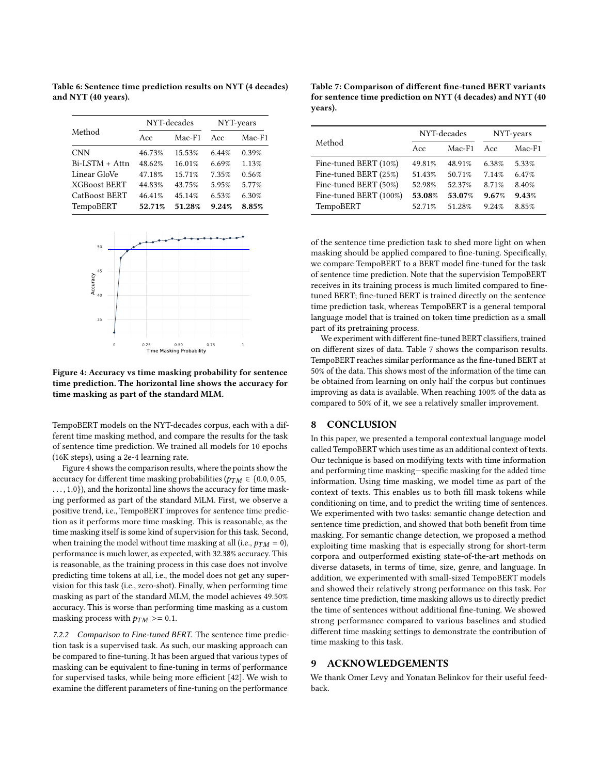Method NYT-decades NYT-years Acc Mac-F1 Acc Mac-F1 CNN 46.73% 15.53% 6.44% 0.39% Bi-LSTM + Attn 48.62% 16.01% 6.69% 1.13% Linear GloVe 47.18% 15.71% 7.35% 0.56% XGBoost BERT 44.83% 43.75% 5.95% 5.77% CatBoost BERT 46.41% 45.14% 6.53% 6.30% TempoBERT 52.71% 51.28% 9.24% 8.85%

<span id="page-7-0"></span>Table 6: Sentence time prediction results on NYT (4 decades) and NYT (40 years).

<span id="page-7-1"></span>

Figure 4: Accuracy vs time masking probability for sentence time prediction. The horizontal line shows the accuracy for time masking as part of the standard MLM.

TempoBERT models on the NYT-decades corpus, each with a different time masking method, and compare the results for the task of sentence time prediction. We trained all models for 10 epochs (16K steps), using a 2e-4 learning rate.

Figure [4](#page-7-1) shows the comparison results, where the points show the accuracy for different time masking probabilities ( $p_{TM} \in \{0.0, 0.05,$ ..., 1.0}), and the horizontal line shows the accuracy for time masking performed as part of the standard MLM. First, we observe a positive trend, i.e., TempoBERT improves for sentence time prediction as it performs more time masking. This is reasonable, as the time masking itself is some kind of supervision for this task. Second, when training the model without time masking at all (i.e.,  $p_{TM} = 0$ ), performance is much lower, as expected, with 32.38% accuracy. This is reasonable, as the training process in this case does not involve predicting time tokens at all, i.e., the model does not get any supervision for this task (i.e., zero-shot). Finally, when performing time masking as part of the standard MLM, the model achieves 49.50% accuracy. This is worse than performing time masking as a custom masking process with  $p_{TM}$  >= 0.1.

7.2.2 Comparison to Fine-tuned BERT. The sentence time prediction task is a supervised task. As such, our masking approach can be compared to fine-tuning. It has been argued that various types of masking can be equivalent to fine-tuning in terms of performance for supervised tasks, while being more efficient [\[42\]](#page-8-43). We wish to examine the different parameters of fine-tuning on the performance

<span id="page-7-2"></span>Table 7: Comparison of different fine-tuned BERT variants for sentence time prediction on NYT (4 decades) and NYT (40 years).

|                        |        | NYT-decades | NYT-years |          |
|------------------------|--------|-------------|-----------|----------|
| Method<br>Acc          |        | $Mac-F1$    | Acc       | $Mac-F1$ |
| Fine-tuned BERT (10%)  | 49.81% | 48.91%      | 6.38%     | 5.33%    |
| Fine-tuned BERT (25%)  | 51.43% | 50.71%      | 7.14%     | 6.47%    |
| Fine-tuned BERT (50%)  | 52.98% | 52.37%      | 8.71%     | 8.40%    |
| Fine-tuned BERT (100%) | 53.08% | 53.07%      | 9.67%     | 9.43%    |
| TempoBERT              | 52.71% | 51.28%      | 9.24%     | 8.85%    |

of the sentence time prediction task to shed more light on when masking should be applied compared to fine-tuning. Specifically, we compare TempoBERT to a BERT model fine-tuned for the task of sentence time prediction. Note that the supervision TempoBERT receives in its training process is much limited compared to finetuned BERT; fine-tuned BERT is trained directly on the sentence time prediction task, whereas TempoBERT is a general temporal language model that is trained on token time prediction as a small part of its pretraining process.

We experiment with different fine-tuned BERT classifiers, trained on different sizes of data. Table [7](#page-7-2) shows the comparison results. TempoBERT reaches similar performance as the fine-tuned BERT at 50% of the data. This shows most of the information of the time can be obtained from learning on only half the corpus but continues improving as data is available. When reaching 100% of the data as compared to 50% of it, we see a relatively smaller improvement.

#### 8 CONCLUSION

In this paper, we presented a temporal contextual language model called TempoBERT which uses time as an additional context of texts. Our technique is based on modifying texts with time information and performing time masking—specific masking for the added time information. Using time masking, we model time as part of the context of texts. This enables us to both fill mask tokens while conditioning on time, and to predict the writing time of sentences. We experimented with two tasks: semantic change detection and sentence time prediction, and showed that both benefit from time masking. For semantic change detection, we proposed a method exploiting time masking that is especially strong for short-term corpora and outperformed existing state-of-the-art methods on diverse datasets, in terms of time, size, genre, and language. In addition, we experimented with small-sized TempoBERT models and showed their relatively strong performance on this task. For sentence time prediction, time masking allows us to directly predict the time of sentences without additional fine-tuning. We showed strong performance compared to various baselines and studied different time masking settings to demonstrate the contribution of time masking to this task.

#### 9 ACKNOWLEDGEMENTS

We thank Omer Levy and Yonatan Belinkov for their useful feedback.